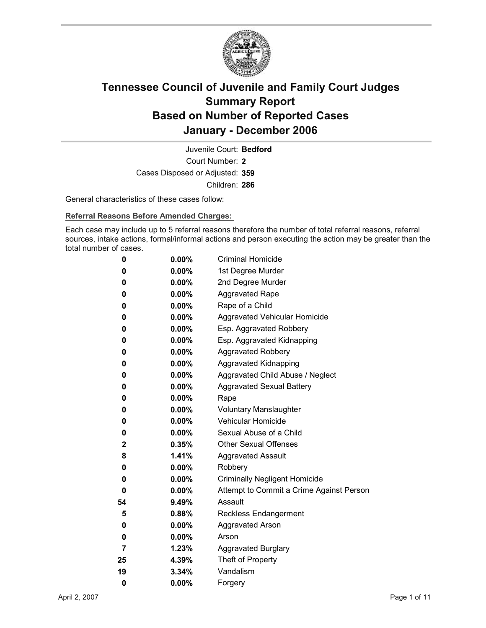

Court Number: **2** Juvenile Court: **Bedford** Cases Disposed or Adjusted: **359** Children: **286**

General characteristics of these cases follow:

**Referral Reasons Before Amended Charges:** 

Each case may include up to 5 referral reasons therefore the number of total referral reasons, referral sources, intake actions, formal/informal actions and person executing the action may be greater than the total number of cases.

| 0            | $0.00\%$ | <b>Criminal Homicide</b>                 |
|--------------|----------|------------------------------------------|
| 0            | $0.00\%$ | 1st Degree Murder                        |
| 0            | $0.00\%$ | 2nd Degree Murder                        |
| 0            | $0.00\%$ | <b>Aggravated Rape</b>                   |
| 0            | $0.00\%$ | Rape of a Child                          |
| 0            | $0.00\%$ | Aggravated Vehicular Homicide            |
| 0            | $0.00\%$ | Esp. Aggravated Robbery                  |
| 0            | $0.00\%$ | Esp. Aggravated Kidnapping               |
| 0            | $0.00\%$ | <b>Aggravated Robbery</b>                |
| 0            | $0.00\%$ | <b>Aggravated Kidnapping</b>             |
| 0            | $0.00\%$ | Aggravated Child Abuse / Neglect         |
| 0            | $0.00\%$ | <b>Aggravated Sexual Battery</b>         |
| 0            | $0.00\%$ | Rape                                     |
| 0            | $0.00\%$ | <b>Voluntary Manslaughter</b>            |
| 0            | $0.00\%$ | <b>Vehicular Homicide</b>                |
| 0            | $0.00\%$ | Sexual Abuse of a Child                  |
| $\mathbf{2}$ | $0.35\%$ | <b>Other Sexual Offenses</b>             |
| 8            | $1.41\%$ | <b>Aggravated Assault</b>                |
| 0            | $0.00\%$ | Robbery                                  |
| 0            | $0.00\%$ | <b>Criminally Negligent Homicide</b>     |
| 0            | $0.00\%$ | Attempt to Commit a Crime Against Person |
| 54           | $9.49\%$ | Assault                                  |
| 5            | 0.88%    | <b>Reckless Endangerment</b>             |
| 0            | $0.00\%$ | <b>Aggravated Arson</b>                  |
| 0            | $0.00\%$ | Arson                                    |
| 7            | 1.23%    | <b>Aggravated Burglary</b>               |
| 25           | 4.39%    | Theft of Property                        |
| 19           | 3.34%    | Vandalism                                |
| 0            | 0.00%    | Forgery                                  |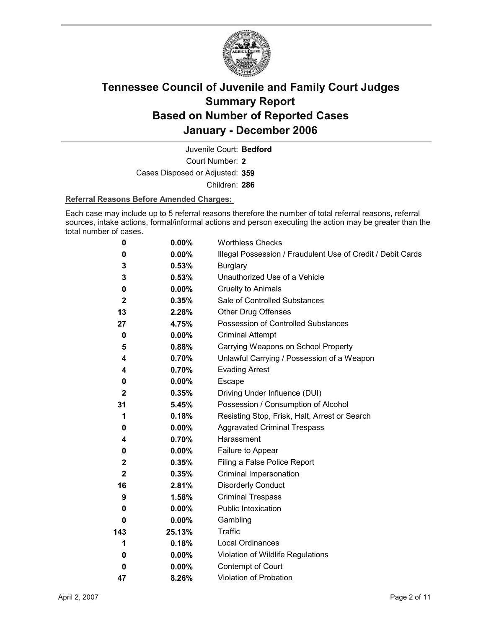

Court Number: **2** Juvenile Court: **Bedford** Cases Disposed or Adjusted: **359**

Children: **286**

#### **Referral Reasons Before Amended Charges:**

Each case may include up to 5 referral reasons therefore the number of total referral reasons, referral sources, intake actions, formal/informal actions and person executing the action may be greater than the total number of cases.

| 0                | 0.00%    | <b>Worthless Checks</b>                                     |
|------------------|----------|-------------------------------------------------------------|
| 0                | 0.00%    | Illegal Possession / Fraudulent Use of Credit / Debit Cards |
| 3                | 0.53%    | <b>Burglary</b>                                             |
| 3                | 0.53%    | Unauthorized Use of a Vehicle                               |
| 0                | 0.00%    | <b>Cruelty to Animals</b>                                   |
| $\boldsymbol{2}$ | 0.35%    | Sale of Controlled Substances                               |
| 13               | 2.28%    | <b>Other Drug Offenses</b>                                  |
| 27               | 4.75%    | Possession of Controlled Substances                         |
| 0                | $0.00\%$ | <b>Criminal Attempt</b>                                     |
| 5                | 0.88%    | Carrying Weapons on School Property                         |
| 4                | 0.70%    | Unlawful Carrying / Possession of a Weapon                  |
| 4                | 0.70%    | <b>Evading Arrest</b>                                       |
| 0                | $0.00\%$ | Escape                                                      |
| $\boldsymbol{2}$ | 0.35%    | Driving Under Influence (DUI)                               |
| 31               | 5.45%    | Possession / Consumption of Alcohol                         |
| 1                | 0.18%    | Resisting Stop, Frisk, Halt, Arrest or Search               |
| 0                | $0.00\%$ | <b>Aggravated Criminal Trespass</b>                         |
| 4                | 0.70%    | Harassment                                                  |
| 0                | 0.00%    | Failure to Appear                                           |
| $\mathbf 2$      | 0.35%    | Filing a False Police Report                                |
| $\mathbf{2}$     | 0.35%    | Criminal Impersonation                                      |
| 16               | 2.81%    | <b>Disorderly Conduct</b>                                   |
| 9                | 1.58%    | <b>Criminal Trespass</b>                                    |
| 0                | $0.00\%$ | <b>Public Intoxication</b>                                  |
| 0                | $0.00\%$ | Gambling                                                    |
| 143              | 25.13%   | Traffic                                                     |
| 1                | 0.18%    | <b>Local Ordinances</b>                                     |
| 0                | 0.00%    | Violation of Wildlife Regulations                           |
| 0                | $0.00\%$ | Contempt of Court                                           |
| 47               | 8.26%    | Violation of Probation                                      |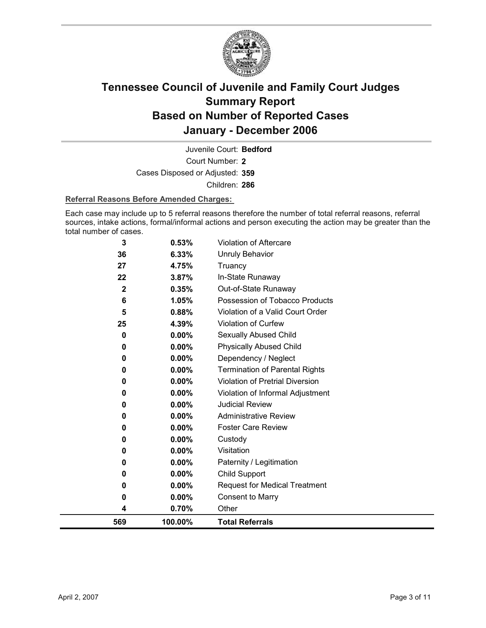

Court Number: **2** Juvenile Court: **Bedford** Cases Disposed or Adjusted: **359** Children: **286**

#### **Referral Reasons Before Amended Charges:**

Each case may include up to 5 referral reasons therefore the number of total referral reasons, referral sources, intake actions, formal/informal actions and person executing the action may be greater than the total number of cases.

| 569               | 100.00%        | <b>Total Referrals</b>                                 |
|-------------------|----------------|--------------------------------------------------------|
| 4                 | 0.70%          | Other                                                  |
| 0                 | 0.00%          | <b>Consent to Marry</b>                                |
| 0                 | $0.00\%$       | <b>Request for Medical Treatment</b>                   |
| 0                 | 0.00%          | <b>Child Support</b>                                   |
| 0                 | 0.00%          | Paternity / Legitimation                               |
| 0                 | 0.00%          | Visitation                                             |
| 0                 | 0.00%          | Custody                                                |
| 0                 | $0.00\%$       | <b>Foster Care Review</b>                              |
| 0                 | 0.00%          | <b>Administrative Review</b>                           |
| 0                 | 0.00%          | <b>Judicial Review</b>                                 |
| 0                 | 0.00%          | Violation of Informal Adjustment                       |
| 0                 | 0.00%          | <b>Violation of Pretrial Diversion</b>                 |
| 0                 | 0.00%          | <b>Termination of Parental Rights</b>                  |
| 0                 | 0.00%          | Dependency / Neglect                                   |
| 0                 | $0.00\%$       | <b>Physically Abused Child</b>                         |
| 0                 | 0.00%          | Sexually Abused Child                                  |
| 25                | 4.39%          | Violation of Curfew                                    |
| 5                 | 0.88%          | Violation of a Valid Court Order                       |
| 6                 | 0.35%<br>1.05% | Out-of-State Runaway<br>Possession of Tobacco Products |
| 22<br>$\mathbf 2$ | 3.87%          | In-State Runaway                                       |
| 27                | 4.75%          | Truancy                                                |
| 36                | 6.33%          | <b>Unruly Behavior</b>                                 |
| 3                 | 0.53%          | <b>Violation of Aftercare</b>                          |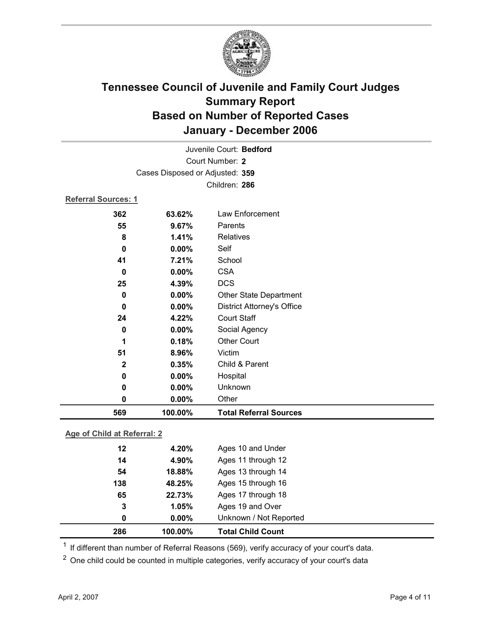

| 569                 | 100.00%                         | <b>Total Referral Sources</b>     |
|---------------------|---------------------------------|-----------------------------------|
| 0                   | $0.00\%$                        | Other                             |
| 0                   | 0.00%                           | Unknown                           |
| 0                   | 0.00%                           | Hospital                          |
| $\mathbf{2}$        | 0.35%                           | Child & Parent                    |
| 51                  | 8.96%                           | Victim                            |
| 1                   | 0.18%                           | <b>Other Court</b>                |
| 0                   | 0.00%                           | Social Agency                     |
| 24                  | 4.22%                           | <b>Court Staff</b>                |
| 0                   | 0.00%                           | <b>District Attorney's Office</b> |
| 0                   | 0.00%                           | Other State Department            |
| 25                  | 4.39%                           | <b>DCS</b>                        |
| 0                   | 0.00%                           | <b>CSA</b>                        |
| 41                  | 7.21%                           | School                            |
| 0                   | 0.00%                           | Self                              |
| 8                   | 1.41%                           | Relatives                         |
| 55                  | 9.67%                           | Parents                           |
| 362                 | 63.62%                          | Law Enforcement                   |
| Referral Sources: 1 |                                 |                                   |
|                     |                                 | Children: 286                     |
|                     | Cases Disposed or Adjusted: 359 |                                   |
|                     |                                 | Court Number: 2                   |
|                     |                                 | Juvenile Court: Bedford           |
|                     |                                 |                                   |

### **Age of Child at Referral: 2**

| 286 | 100.00%  | <b>Total Child Count</b> |  |
|-----|----------|--------------------------|--|
| 0   | $0.00\%$ | Unknown / Not Reported   |  |
| 3   | 1.05%    | Ages 19 and Over         |  |
| 65  | 22.73%   | Ages 17 through 18       |  |
| 138 | 48.25%   | Ages 15 through 16       |  |
| 54  | 18.88%   | Ages 13 through 14       |  |
| 14  | 4.90%    | Ages 11 through 12       |  |
| 12  | 4.20%    | Ages 10 and Under        |  |
|     |          |                          |  |

<sup>1</sup> If different than number of Referral Reasons (569), verify accuracy of your court's data.

<sup>2</sup> One child could be counted in multiple categories, verify accuracy of your court's data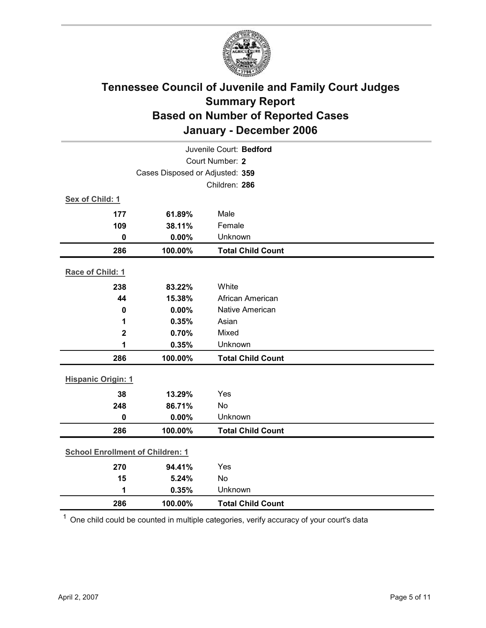

| Juvenile Court: Bedford                 |         |                          |  |  |
|-----------------------------------------|---------|--------------------------|--|--|
| Court Number: 2                         |         |                          |  |  |
| Cases Disposed or Adjusted: 359         |         |                          |  |  |
|                                         |         | Children: 286            |  |  |
| Sex of Child: 1                         |         |                          |  |  |
| 177                                     | 61.89%  | Male                     |  |  |
| 109                                     | 38.11%  | Female                   |  |  |
| $\bf{0}$                                | 0.00%   | Unknown                  |  |  |
| 286                                     | 100.00% | <b>Total Child Count</b> |  |  |
| Race of Child: 1                        |         |                          |  |  |
| 238                                     | 83.22%  | White                    |  |  |
| 44                                      | 15.38%  | African American         |  |  |
| 0                                       | 0.00%   | Native American          |  |  |
| 1                                       | 0.35%   | Asian                    |  |  |
| $\mathbf 2$                             | 0.70%   | Mixed                    |  |  |
| 1                                       | 0.35%   | Unknown                  |  |  |
| 286                                     | 100.00% | <b>Total Child Count</b> |  |  |
| <b>Hispanic Origin: 1</b>               |         |                          |  |  |
|                                         |         |                          |  |  |
| 38                                      | 13.29%  | Yes                      |  |  |
| 248                                     | 86.71%  | No                       |  |  |
| $\mathbf 0$                             | 0.00%   | Unknown                  |  |  |
| 286                                     | 100.00% | <b>Total Child Count</b> |  |  |
| <b>School Enrollment of Children: 1</b> |         |                          |  |  |
| 270                                     | 94.41%  | Yes                      |  |  |
| 15                                      | 5.24%   | No                       |  |  |
| 1                                       | 0.35%   | Unknown                  |  |  |
| 286                                     | 100.00% | <b>Total Child Count</b> |  |  |

 $1$  One child could be counted in multiple categories, verify accuracy of your court's data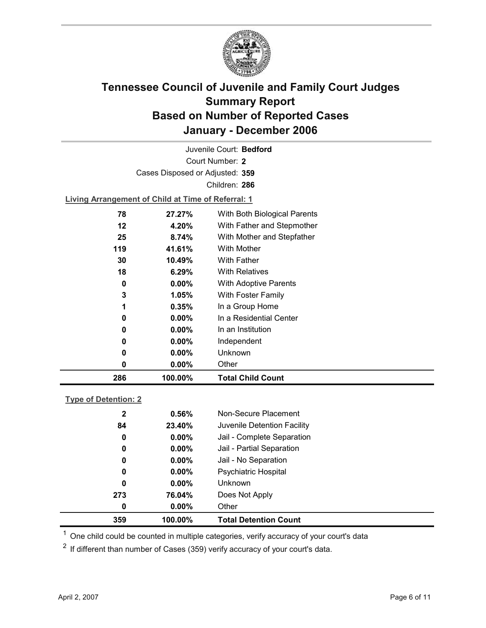

Court Number: **2** Juvenile Court: **Bedford** Cases Disposed or Adjusted: **359** Children: **286**

**Living Arrangement of Child at Time of Referral: 1**

| 286 | 100.00%  | <b>Total Child Count</b>     |
|-----|----------|------------------------------|
| 0   | 0.00%    | Other                        |
| 0   | $0.00\%$ | Unknown                      |
| 0   | $0.00\%$ | Independent                  |
| 0   | $0.00\%$ | In an Institution            |
| 0   | $0.00\%$ | In a Residential Center      |
| 1   | 0.35%    | In a Group Home              |
| 3   | $1.05\%$ | With Foster Family           |
| 0   | $0.00\%$ | <b>With Adoptive Parents</b> |
| 18  | 6.29%    | <b>With Relatives</b>        |
| 30  | 10.49%   | <b>With Father</b>           |
| 119 | 41.61%   | With Mother                  |
| 25  | 8.74%    | With Mother and Stepfather   |
| 12  | 4.20%    | With Father and Stepmother   |
| 78  | 27.27%   | With Both Biological Parents |
|     |          |                              |

#### **Type of Detention: 2**

| 359          | 100.00%  | <b>Total Detention Count</b> |  |
|--------------|----------|------------------------------|--|
| 0            | $0.00\%$ | Other                        |  |
| 273          | 76.04%   | Does Not Apply               |  |
| 0            | $0.00\%$ | <b>Unknown</b>               |  |
| 0            | $0.00\%$ | Psychiatric Hospital         |  |
| 0            | $0.00\%$ | Jail - No Separation         |  |
| 0            | $0.00\%$ | Jail - Partial Separation    |  |
| 0            | $0.00\%$ | Jail - Complete Separation   |  |
| 84           | 23.40%   | Juvenile Detention Facility  |  |
| $\mathbf{2}$ | 0.56%    | Non-Secure Placement         |  |
|              |          |                              |  |

 $<sup>1</sup>$  One child could be counted in multiple categories, verify accuracy of your court's data</sup>

 $2$  If different than number of Cases (359) verify accuracy of your court's data.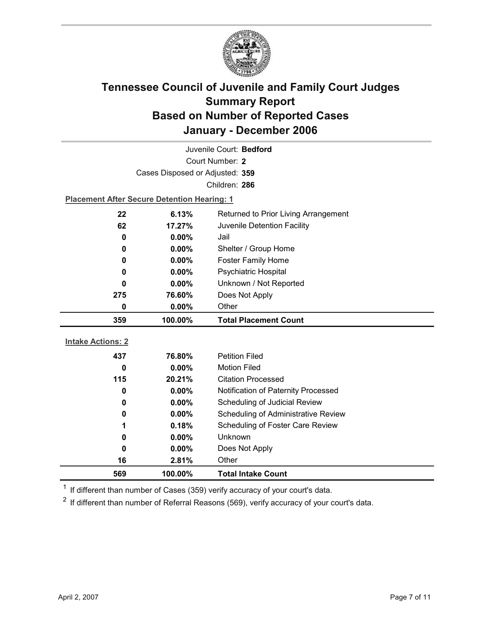

| Juvenile Court: Bedford                        |                                                    |                                            |  |  |  |
|------------------------------------------------|----------------------------------------------------|--------------------------------------------|--|--|--|
| Court Number: 2                                |                                                    |                                            |  |  |  |
|                                                | Cases Disposed or Adjusted: 359                    |                                            |  |  |  |
|                                                |                                                    | Children: 286                              |  |  |  |
|                                                | <b>Placement After Secure Detention Hearing: 1</b> |                                            |  |  |  |
| 22                                             | 6.13%                                              | Returned to Prior Living Arrangement       |  |  |  |
| 62                                             | 17.27%                                             | Juvenile Detention Facility                |  |  |  |
| 0                                              | 0.00%                                              | Jail                                       |  |  |  |
| 0                                              | 0.00%                                              | Shelter / Group Home                       |  |  |  |
| 0                                              | $0.00\%$                                           | <b>Foster Family Home</b>                  |  |  |  |
| 0                                              | 0.00%                                              | Psychiatric Hospital                       |  |  |  |
| 0                                              | $0.00\%$                                           | Unknown / Not Reported                     |  |  |  |
| 275                                            | 76.60%                                             | Does Not Apply                             |  |  |  |
| 0                                              | 0.00%                                              | Other                                      |  |  |  |
| 100.00%<br><b>Total Placement Count</b><br>359 |                                                    |                                            |  |  |  |
|                                                |                                                    |                                            |  |  |  |
|                                                |                                                    |                                            |  |  |  |
| <b>Intake Actions: 2</b>                       |                                                    |                                            |  |  |  |
| 437                                            | 76.80%                                             | <b>Petition Filed</b>                      |  |  |  |
| 0                                              | $0.00\%$                                           | <b>Motion Filed</b>                        |  |  |  |
| 115                                            | 20.21%                                             | <b>Citation Processed</b>                  |  |  |  |
| 0                                              | 0.00%                                              | Notification of Paternity Processed        |  |  |  |
| 0                                              | 0.00%                                              | Scheduling of Judicial Review              |  |  |  |
| 0                                              | $0.00\%$                                           | <b>Scheduling of Administrative Review</b> |  |  |  |
| 1                                              | 0.18%                                              | Scheduling of Foster Care Review           |  |  |  |
| 0                                              | 0.00%                                              | <b>Unknown</b>                             |  |  |  |
| 0                                              | 0.00%                                              | Does Not Apply                             |  |  |  |
| 16<br>569                                      | 2.81%<br>100.00%                                   | Other                                      |  |  |  |

 $1$  If different than number of Cases (359) verify accuracy of your court's data.

 $2$  If different than number of Referral Reasons (569), verify accuracy of your court's data.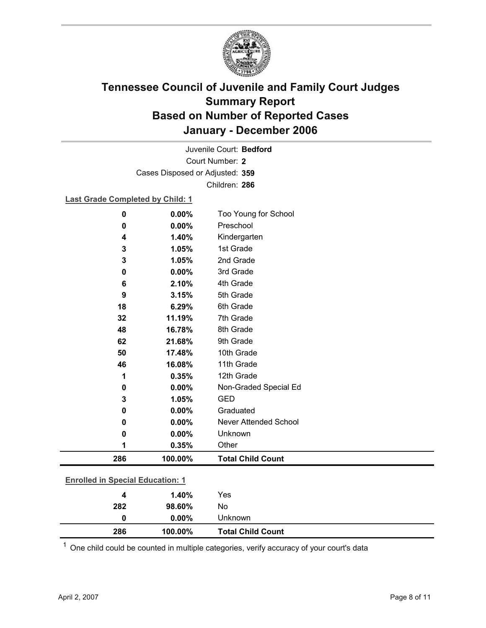

Court Number: **2** Juvenile Court: **Bedford** Cases Disposed or Adjusted: **359** Children: **286**

#### **Last Grade Completed by Child: 1**

| $\bf{0}$                                | 0.00%   | Too Young for School         |
|-----------------------------------------|---------|------------------------------|
| $\mathbf 0$                             | 0.00%   | Preschool                    |
| 4                                       | 1.40%   | Kindergarten                 |
| 3                                       | 1.05%   | 1st Grade                    |
| 3                                       | 1.05%   | 2nd Grade                    |
| $\mathbf 0$                             | 0.00%   | 3rd Grade                    |
| 6                                       | 2.10%   | 4th Grade                    |
| 9                                       | 3.15%   | 5th Grade                    |
| 18                                      | 6.29%   | 6th Grade                    |
| 32                                      | 11.19%  | 7th Grade                    |
| 48                                      | 16.78%  | 8th Grade                    |
| 62                                      | 21.68%  | 9th Grade                    |
| 50                                      | 17.48%  | 10th Grade                   |
| 46                                      | 16.08%  | 11th Grade                   |
| 1                                       | 0.35%   | 12th Grade                   |
| 0                                       | 0.00%   | Non-Graded Special Ed        |
| 3                                       | 1.05%   | <b>GED</b>                   |
| $\bf{0}$                                | 0.00%   | Graduated                    |
| 0                                       | 0.00%   | <b>Never Attended School</b> |
| 0                                       | 0.00%   | Unknown                      |
| 1                                       | 0.35%   | Other                        |
| 286                                     | 100.00% | <b>Total Child Count</b>     |
|                                         |         |                              |
| <b>Enrolled in Special Education: 1</b> |         |                              |
| 4                                       | 1.40%   | Yes                          |

| 286 | 100.00%  | <b>Total Child Count</b> |
|-----|----------|--------------------------|
| 0   | $0.00\%$ | Unknown                  |
| 282 | 98.60%   | No                       |
| 4   | 1.4V%    | 155                      |

 $1$  One child could be counted in multiple categories, verify accuracy of your court's data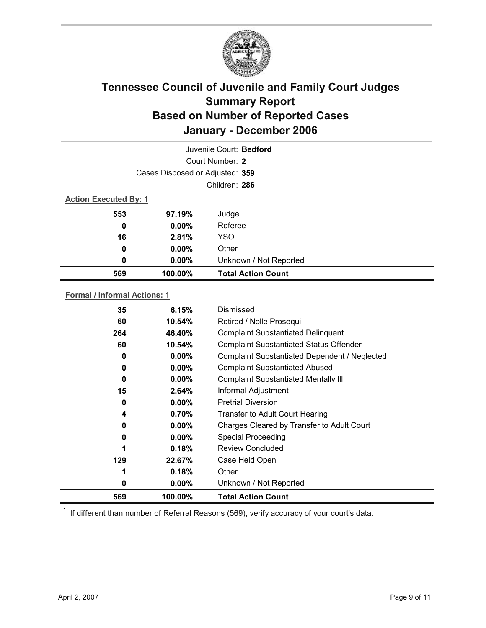

| Juvenile Court: Bedford      |                                 |                           |  |  |  |
|------------------------------|---------------------------------|---------------------------|--|--|--|
|                              | Court Number: 2                 |                           |  |  |  |
|                              | Cases Disposed or Adjusted: 359 |                           |  |  |  |
|                              |                                 | Children: 286             |  |  |  |
| <b>Action Executed By: 1</b> |                                 |                           |  |  |  |
| 553                          | 97.19%                          | Judge                     |  |  |  |
| 0                            | $0.00\%$                        | Referee                   |  |  |  |
| 16                           | 2.81%                           | <b>YSO</b>                |  |  |  |
| $\bf{0}$                     | $0.00\%$                        | Other                     |  |  |  |
| 0                            | $0.00\%$                        | Unknown / Not Reported    |  |  |  |
| 569                          | 100.00%                         | <b>Total Action Count</b> |  |  |  |

### **Formal / Informal Actions: 1**

| 35  | 6.15%    | Dismissed                                      |
|-----|----------|------------------------------------------------|
| 60  | 10.54%   | Retired / Nolle Prosequi                       |
| 264 | 46.40%   | <b>Complaint Substantiated Delinquent</b>      |
| 60  | 10.54%   | <b>Complaint Substantiated Status Offender</b> |
| 0   | $0.00\%$ | Complaint Substantiated Dependent / Neglected  |
| 0   | $0.00\%$ | <b>Complaint Substantiated Abused</b>          |
| 0   | $0.00\%$ | <b>Complaint Substantiated Mentally III</b>    |
| 15  | 2.64%    | Informal Adjustment                            |
| 0   | $0.00\%$ | <b>Pretrial Diversion</b>                      |
| 4   | 0.70%    | <b>Transfer to Adult Court Hearing</b>         |
| 0   | $0.00\%$ | Charges Cleared by Transfer to Adult Court     |
| 0   | $0.00\%$ | <b>Special Proceeding</b>                      |
| 1   | 0.18%    | <b>Review Concluded</b>                        |
| 129 | 22.67%   | Case Held Open                                 |
| 1   | 0.18%    | Other                                          |
| 0   | $0.00\%$ | Unknown / Not Reported                         |
| 569 | 100.00%  | <b>Total Action Count</b>                      |

 $1$  If different than number of Referral Reasons (569), verify accuracy of your court's data.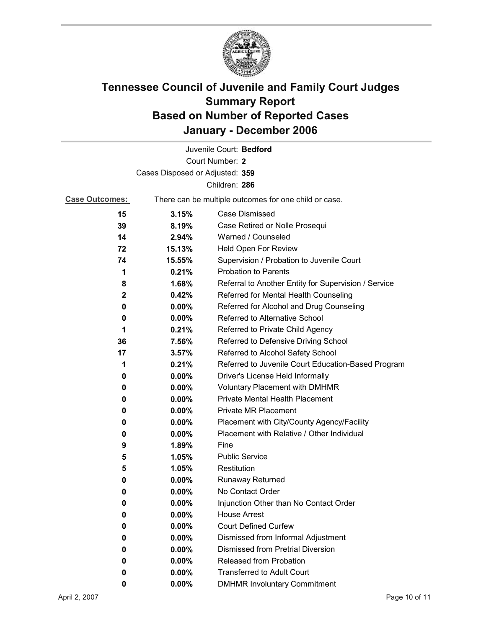

|                                 |          | Juvenile Court: Bedford                               |  |  |
|---------------------------------|----------|-------------------------------------------------------|--|--|
|                                 |          | Court Number: 2                                       |  |  |
| Cases Disposed or Adjusted: 359 |          |                                                       |  |  |
|                                 |          | Children: 286                                         |  |  |
| <b>Case Outcomes:</b>           |          | There can be multiple outcomes for one child or case. |  |  |
| 15                              | 3.15%    | Case Dismissed                                        |  |  |
| 39                              | 8.19%    | Case Retired or Nolle Prosequi                        |  |  |
| 14                              | 2.94%    | Warned / Counseled                                    |  |  |
| 72                              | 15.13%   | Held Open For Review                                  |  |  |
| 74                              | 15.55%   | Supervision / Probation to Juvenile Court             |  |  |
| 1                               | 0.21%    | <b>Probation to Parents</b>                           |  |  |
| 8                               | 1.68%    | Referral to Another Entity for Supervision / Service  |  |  |
| 2                               | 0.42%    | Referred for Mental Health Counseling                 |  |  |
| 0                               | $0.00\%$ | Referred for Alcohol and Drug Counseling              |  |  |
| 0                               | $0.00\%$ | <b>Referred to Alternative School</b>                 |  |  |
| 1                               | 0.21%    | Referred to Private Child Agency                      |  |  |
| 36                              | 7.56%    | Referred to Defensive Driving School                  |  |  |
| 17                              | 3.57%    | Referred to Alcohol Safety School                     |  |  |
| 1                               | 0.21%    | Referred to Juvenile Court Education-Based Program    |  |  |
| 0                               | $0.00\%$ | Driver's License Held Informally                      |  |  |
| 0                               | $0.00\%$ | <b>Voluntary Placement with DMHMR</b>                 |  |  |
| 0                               | $0.00\%$ | <b>Private Mental Health Placement</b>                |  |  |
| 0                               | $0.00\%$ | <b>Private MR Placement</b>                           |  |  |
| 0                               | $0.00\%$ | Placement with City/County Agency/Facility            |  |  |
| 0                               | 0.00%    | Placement with Relative / Other Individual            |  |  |
| 9                               | 1.89%    | Fine                                                  |  |  |
| 5                               | 1.05%    | <b>Public Service</b>                                 |  |  |
| 5                               | 1.05%    | Restitution                                           |  |  |
| 0                               | $0.00\%$ | <b>Runaway Returned</b>                               |  |  |
| 0                               | $0.00\%$ | No Contact Order                                      |  |  |
| 0                               | 0.00%    | Injunction Other than No Contact Order                |  |  |
| 0                               | 0.00%    | <b>House Arrest</b>                                   |  |  |
| 0                               | 0.00%    | <b>Court Defined Curfew</b>                           |  |  |
| 0                               | 0.00%    | Dismissed from Informal Adjustment                    |  |  |
| 0                               | $0.00\%$ | <b>Dismissed from Pretrial Diversion</b>              |  |  |
| 0                               | $0.00\%$ | Released from Probation                               |  |  |
| 0                               | 0.00%    | <b>Transferred to Adult Court</b>                     |  |  |
| 0                               | $0.00\%$ | <b>DMHMR Involuntary Commitment</b>                   |  |  |